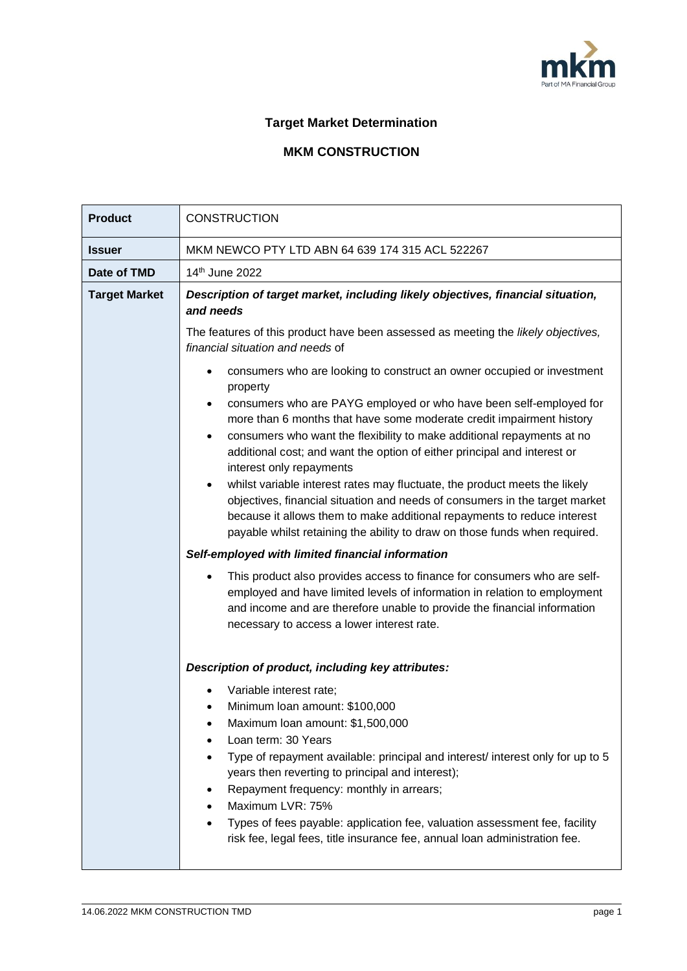

## **Target Market Determination**

## **MKM CONSTRUCTION**

| <b>Product</b>       | <b>CONSTRUCTION</b>                                                                                                                                                                                                                                                                                                                                                                                                                                                                                                                                                                                                                                                                                                                                                                                                                                                                                                                                                                                                                                                             |  |  |
|----------------------|---------------------------------------------------------------------------------------------------------------------------------------------------------------------------------------------------------------------------------------------------------------------------------------------------------------------------------------------------------------------------------------------------------------------------------------------------------------------------------------------------------------------------------------------------------------------------------------------------------------------------------------------------------------------------------------------------------------------------------------------------------------------------------------------------------------------------------------------------------------------------------------------------------------------------------------------------------------------------------------------------------------------------------------------------------------------------------|--|--|
| <b>Issuer</b>        | MKM NEWCO PTY LTD ABN 64 639 174 315 ACL 522267                                                                                                                                                                                                                                                                                                                                                                                                                                                                                                                                                                                                                                                                                                                                                                                                                                                                                                                                                                                                                                 |  |  |
| Date of TMD          | 14th June 2022                                                                                                                                                                                                                                                                                                                                                                                                                                                                                                                                                                                                                                                                                                                                                                                                                                                                                                                                                                                                                                                                  |  |  |
| <b>Target Market</b> | Description of target market, including likely objectives, financial situation,<br>and needs                                                                                                                                                                                                                                                                                                                                                                                                                                                                                                                                                                                                                                                                                                                                                                                                                                                                                                                                                                                    |  |  |
|                      | The features of this product have been assessed as meeting the likely objectives,<br>financial situation and needs of                                                                                                                                                                                                                                                                                                                                                                                                                                                                                                                                                                                                                                                                                                                                                                                                                                                                                                                                                           |  |  |
|                      | consumers who are looking to construct an owner occupied or investment<br>property<br>consumers who are PAYG employed or who have been self-employed for<br>more than 6 months that have some moderate credit impairment history<br>consumers who want the flexibility to make additional repayments at no<br>additional cost; and want the option of either principal and interest or<br>interest only repayments<br>whilst variable interest rates may fluctuate, the product meets the likely<br>objectives, financial situation and needs of consumers in the target market<br>because it allows them to make additional repayments to reduce interest<br>payable whilst retaining the ability to draw on those funds when required.<br>Self-employed with limited financial information<br>This product also provides access to finance for consumers who are self-<br>employed and have limited levels of information in relation to employment<br>and income and are therefore unable to provide the financial information<br>necessary to access a lower interest rate. |  |  |
|                      | Description of product, including key attributes:<br>Variable interest rate;<br>Minimum Ioan amount: \$100,000<br>Maximum Ioan amount: \$1,500,000<br>Loan term: 30 Years<br>Type of repayment available: principal and interest/ interest only for up to 5<br>years then reverting to principal and interest);<br>Repayment frequency: monthly in arrears;<br>Maximum LVR: 75%<br>Types of fees payable: application fee, valuation assessment fee, facility<br>risk fee, legal fees, title insurance fee, annual loan administration fee.                                                                                                                                                                                                                                                                                                                                                                                                                                                                                                                                     |  |  |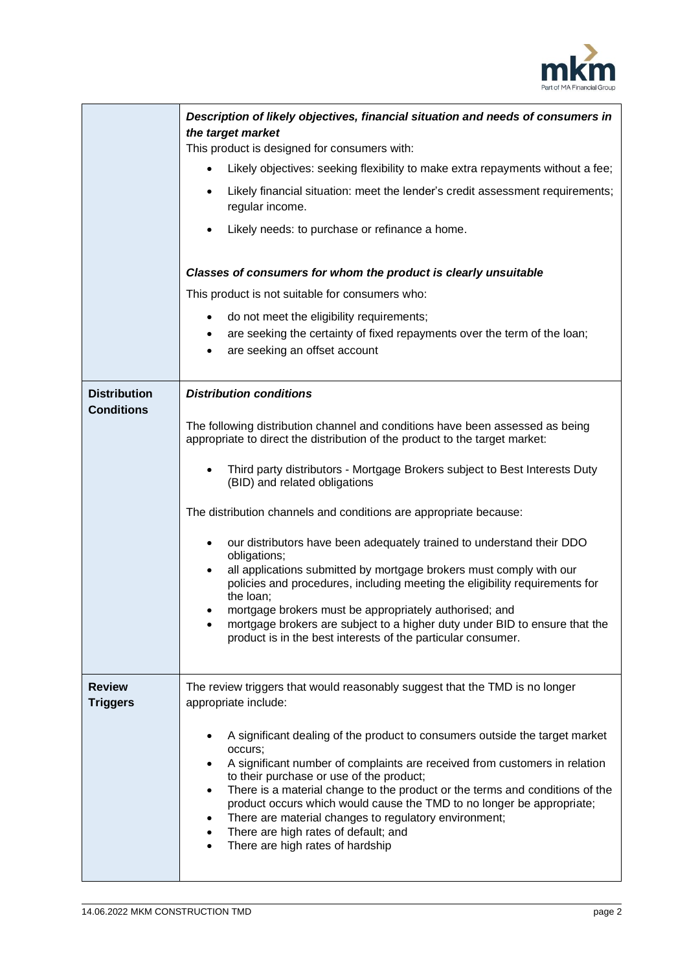

|                                          | Description of likely objectives, financial situation and needs of consumers in<br>the target market<br>This product is designed for consumers with:<br>Likely objectives: seeking flexibility to make extra repayments without a fee;<br>$\bullet$<br>Likely financial situation: meet the lender's credit assessment requirements;<br>$\bullet$<br>regular income.<br>Likely needs: to purchase or refinance a home.<br>$\bullet$<br>Classes of consumers for whom the product is clearly unsuitable<br>This product is not suitable for consumers who:<br>do not meet the eligibility requirements;<br>٠<br>are seeking the certainty of fixed repayments over the term of the loan;<br>are seeking an offset account                                                                                                                                         |
|------------------------------------------|------------------------------------------------------------------------------------------------------------------------------------------------------------------------------------------------------------------------------------------------------------------------------------------------------------------------------------------------------------------------------------------------------------------------------------------------------------------------------------------------------------------------------------------------------------------------------------------------------------------------------------------------------------------------------------------------------------------------------------------------------------------------------------------------------------------------------------------------------------------|
| <b>Distribution</b><br><b>Conditions</b> | <b>Distribution conditions</b><br>The following distribution channel and conditions have been assessed as being<br>appropriate to direct the distribution of the product to the target market:<br>Third party distributors - Mortgage Brokers subject to Best Interests Duty<br>(BID) and related obligations<br>The distribution channels and conditions are appropriate because:<br>our distributors have been adequately trained to understand their DDO<br>٠<br>obligations;<br>all applications submitted by mortgage brokers must comply with our<br>٠<br>policies and procedures, including meeting the eligibility requirements for<br>the loan;<br>mortgage brokers must be appropriately authorised; and<br>mortgage brokers are subject to a higher duty under BID to ensure that the<br>product is in the best interests of the particular consumer. |
| <b>Review</b><br><b>Triggers</b>         | The review triggers that would reasonably suggest that the TMD is no longer<br>appropriate include:<br>A significant dealing of the product to consumers outside the target market<br>٠<br>occurs;<br>A significant number of complaints are received from customers in relation<br>٠<br>to their purchase or use of the product;<br>There is a material change to the product or the terms and conditions of the<br>$\bullet$<br>product occurs which would cause the TMD to no longer be appropriate;<br>There are material changes to regulatory environment;<br>٠<br>There are high rates of default; and<br>$\bullet$<br>There are high rates of hardship                                                                                                                                                                                                   |